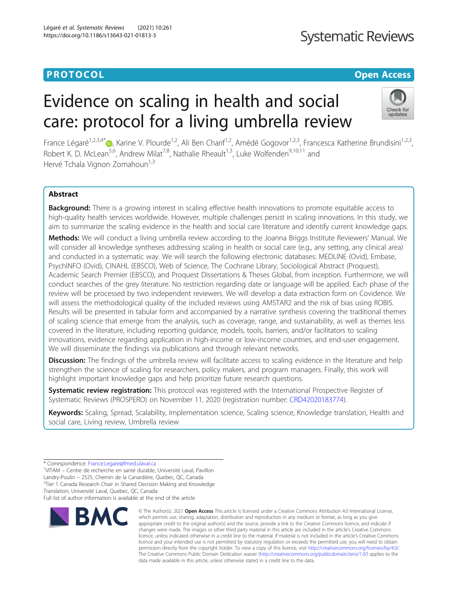### **PROTOCOL CONSUMING THE OPEN ACCESS**

## **Systematic Reviews**

# Evidence on scaling in health and social care: protocol for a living umbrella review



France Légaré<sup>1,2,3,4\*</sup> , Karine V. Plourde<sup>1,2</sup>, Ali Ben Charif<sup>1,2</sup>, Amédé Gogovor<sup>1,2,3</sup>, Francesca Katherine Brundisini<sup>1,2,3</sup>, Robert K. D. McLean<sup>5,6</sup>, Andrew Milat<sup>7,8</sup>, Nathalie Rheault<sup>1,3</sup>, Luke Wolfenden<sup>9,10,11</sup> and Hervé Tchala Vignon Zomahoun<sup>1,3</sup>

#### Abstract

**Background:** There is a growing interest in scaling effective health innovations to promote equitable access to high-quality health services worldwide. However, multiple challenges persist in scaling innovations. In this study, we aim to summarize the scaling evidence in the health and social care literature and identify current knowledge gaps.

Methods: We will conduct a living umbrella review according to the Joanna Briggs Institute Reviewers' Manual. We will consider all knowledge syntheses addressing scaling in health or social care (e.g., any setting, any clinical area) and conducted in a systematic way. We will search the following electronic databases: MEDLINE (Ovid), Embase, PsychINFO (Ovid), CINAHL (EBSCO), Web of Science, The Cochrane Library, Sociological Abstract (Proquest), Academic Search Premier (EBSCO), and Proquest Dissertations & Theses Global, from inception. Furthermore, we will conduct searches of the grey literature. No restriction regarding date or language will be applied. Each phase of the review will be processed by two independent reviewers. We will develop a data extraction form on Covidence. We will assess the methodological quality of the included reviews using AMSTAR2 and the risk of bias using ROBIS. Results will be presented in tabular form and accompanied by a narrative synthesis covering the traditional themes of scaling science that emerge from the analysis, such as coverage, range, and sustainability, as well as themes less covered in the literature, including reporting guidance, models, tools, barriers, and/or facilitators to scaling innovations, evidence regarding application in high-income or low-income countries, and end-user engagement. We will disseminate the findings via publications and through relevant networks.

**Discussion:** The findings of the umbrella review will facilitate access to scaling evidence in the literature and help strengthen the science of scaling for researchers, policy makers, and program managers. Finally, this work will highlight important knowledge gaps and help prioritize future research questions.

Systematic review registration: This protocol was registered with the International Prospective Register of Systematic Reviews (PROSPERO) on November 11, 2020 (registration number: [CRD42020183774\)](https://www.crd.york.ac.uk/prospero/display_record.php?ID=CRD42020183774).

Keywords: Scaling, Spread, Scalability, Implementation science, Scaling science, Knowledge translation, Health and social care, Living review, Umbrella review

<sup>1</sup>VITAM – Centre de recherche en santé durable, Université Laval, Pavillon

Landry-Poulin – 2525, Chemin de la Canardière, Quebec, QC, Canada <sup>2</sup> <sup>2</sup>Tier 1 Canada Research Chair in Shared Decision Making and Knowledge

Translation, Université Laval, Quebec, QC, Canada

Full list of author information is available at the end of the article



<sup>©</sup> The Author(s), 2021 **Open Access** This article is licensed under a Creative Commons Attribution 4.0 International License, which permits use, sharing, adaptation, distribution and reproduction in any medium or format, as long as you give appropriate credit to the original author(s) and the source, provide a link to the Creative Commons licence, and indicate if changes were made. The images or other third party material in this article are included in the article's Creative Commons licence, unless indicated otherwise in a credit line to the material. If material is not included in the article's Creative Commons licence and your intended use is not permitted by statutory regulation or exceeds the permitted use, you will need to obtain permission directly from the copyright holder. To view a copy of this licence, visit [http://creativecommons.org/licenses/by/4.0/.](http://creativecommons.org/licenses/by/4.0/) The Creative Commons Public Domain Dedication waiver [\(http://creativecommons.org/publicdomain/zero/1.0/](http://creativecommons.org/publicdomain/zero/1.0/)) applies to the data made available in this article, unless otherwise stated in a credit line to the data.

<sup>\*</sup> Correspondence: [France.Legare@fmed.ulaval.ca](mailto:France.Legare@fmed.ulaval.ca) <sup>1</sup>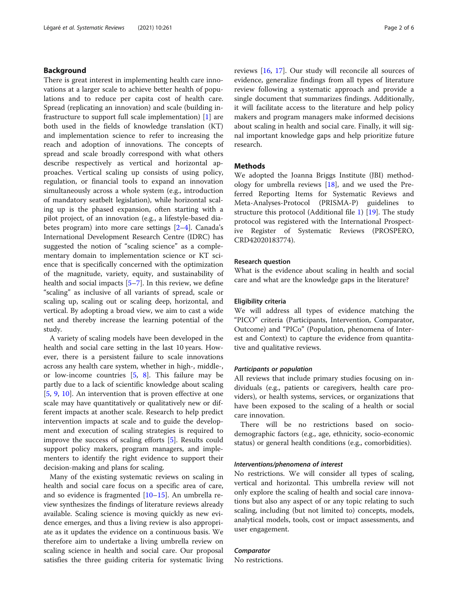#### Background

There is great interest in implementing health care innovations at a larger scale to achieve better health of populations and to reduce per capita cost of health care. Spread (replicating an innovation) and scale (building infrastructure to support full scale implementation) [[1\]](#page-4-0) are both used in the fields of knowledge translation (KT) and implementation science to refer to increasing the reach and adoption of innovations. The concepts of spread and scale broadly correspond with what others describe respectively as vertical and horizontal approaches. Vertical scaling up consists of using policy, regulation, or financial tools to expand an innovation simultaneously across a whole system (e.g., introduction of mandatory seatbelt legislation), while horizontal scaling up is the phased expansion, often starting with a pilot project, of an innovation (e.g., a lifestyle-based diabetes program) into more care settings  $[2-4]$  $[2-4]$  $[2-4]$ . Canada's International Development Research Centre (IDRC) has suggested the notion of "scaling science" as a complementary domain to implementation science or KT science that is specifically concerned with the optimization of the magnitude, variety, equity, and sustainability of health and social impacts  $[5-7]$  $[5-7]$  $[5-7]$  $[5-7]$ . In this review, we define "scaling" as inclusive of all variants of spread, scale or scaling up, scaling out or scaling deep, horizontal, and vertical. By adopting a broad view, we aim to cast a wide net and thereby increase the learning potential of the study.

A variety of scaling models have been developed in the health and social care setting in the last 10 years. However, there is a persistent failure to scale innovations across any health care system, whether in high-, middle-, or low-income countries [[5,](#page-4-0) [8\]](#page-5-0). This failure may be partly due to a lack of scientific knowledge about scaling [[5,](#page-4-0) [9](#page-5-0), [10](#page-5-0)]. An intervention that is proven effective at one scale may have quantitatively or qualitatively new or different impacts at another scale. Research to help predict intervention impacts at scale and to guide the development and execution of scaling strategies is required to improve the success of scaling efforts [[5\]](#page-4-0). Results could support policy makers, program managers, and implementers to identify the right evidence to support their decision-making and plans for scaling.

Many of the existing systematic reviews on scaling in health and social care focus on a specific area of care, and so evidence is fragmented [\[10](#page-5-0)–[15\]](#page-5-0). An umbrella review synthesizes the findings of literature reviews already available. Scaling science is moving quickly as new evidence emerges, and thus a living review is also appropriate as it updates the evidence on a continuous basis. We therefore aim to undertake a living umbrella review on scaling science in health and social care. Our proposal satisfies the three guiding criteria for systematic living reviews [\[16,](#page-5-0) [17\]](#page-5-0). Our study will reconcile all sources of evidence, generalize findings from all types of literature review following a systematic approach and provide a single document that summarizes findings. Additionally, it will facilitate access to the literature and help policy makers and program managers make informed decisions about scaling in health and social care. Finally, it will signal important knowledge gaps and help prioritize future research.

#### Methods

We adopted the Joanna Briggs Institute (JBI) methodology for umbrella reviews [[18\]](#page-5-0), and we used the Preferred Reporting Items for Systematic Reviews and Meta-Analyses-Protocol (PRISMA-P) guidelines to structure this protocol (Additional file [1\)](#page-4-0) [\[19\]](#page-5-0). The study protocol was registered with the International Prospective Register of Systematic Reviews (PROSPERO, CRD42020183774).

#### Research question

What is the evidence about scaling in health and social care and what are the knowledge gaps in the literature?

#### Eligibility criteria

We will address all types of evidence matching the "PICO" criteria (Participants, Intervention, Comparator, Outcome) and "PICo" (Population, phenomena of Interest and Context) to capture the evidence from quantitative and qualitative reviews.

#### Participants or population

All reviews that include primary studies focusing on individuals (e.g., patients or caregivers, health care providers), or health systems, services, or organizations that have been exposed to the scaling of a health or social care innovation.

There will be no restrictions based on sociodemographic factors (e.g., age, ethnicity, socio-economic status) or general health conditions (e.g., comorbidities).

#### Interventions/phenomena of interest

No restrictions. We will consider all types of scaling, vertical and horizontal. This umbrella review will not only explore the scaling of health and social care innovations but also any aspect of or any topic relating to such scaling, including (but not limited to) concepts, models, analytical models, tools, cost or impact assessments, and user engagement.

#### Comparator

No restrictions.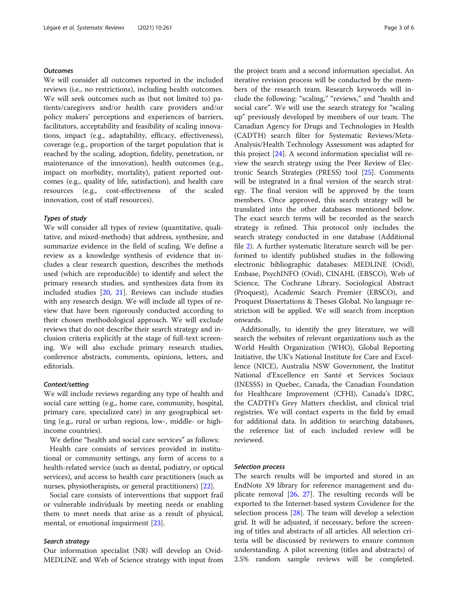#### **Outcomes**

We will consider all outcomes reported in the included reviews (i.e., no restrictions), including health outcomes. We will seek outcomes such as (but not limited to) patients/caregivers and/or health care providers and/or policy makers' perceptions and experiences of barriers, facilitators, acceptability and feasibility of scaling innovations, impact (e.g., adaptability, efficacy, effectiveness), coverage (e.g., proportion of the target population that is reached by the scaling, adoption, fidelity, penetration, or maintenance of the innovation), health outcomes (e.g., impact on morbidity, mortality), patient reported outcomes (e.g., quality of life, satisfaction), and health care resources (e.g., cost-effectiveness of the scaled innovation, cost of staff resources).

#### Types of study

We will consider all types of review (quantitative, qualitative, and mixed-methods) that address, synthesize, and summarize evidence in the field of scaling. We define a review as a knowledge synthesis of evidence that includes a clear research question, describes the methods used (which are reproducible) to identify and select the primary research studies, and synthesizes data from its included studies [\[20](#page-5-0), [21](#page-5-0)]. Reviews can include studies with any research design. We will include all types of review that have been rigorously conducted according to their chosen methodological approach. We will exclude reviews that do not describe their search strategy and inclusion criteria explicitly at the stage of full-text screening. We will also exclude primary research studies, conference abstracts, comments, opinions, letters, and editorials.

#### Context/setting

We will include reviews regarding any type of health and social care setting (e.g., home care, community, hospital, primary care, specialized care) in any geographical setting (e.g., rural or urban regions, low-, middle- or highincome countries).

We define "health and social care services" as follows:

Health care consists of services provided in institutional or community settings, any form of access to a health-related service (such as dental, podiatry, or optical services), and access to health care practitioners (such as nurses, physiotherapists, or general practitioners) [\[22\]](#page-5-0).

Social care consists of interventions that support frail or vulnerable individuals by meeting needs or enabling them to meet needs that arise as a result of physical, mental, or emotional impairment [\[23](#page-5-0)].

#### Search strategy

Our information specialist (NR) will develop an Ovid-MEDLINE and Web of Science strategy with input from

the project team and a second information specialist. An iterative revision process will be conducted by the members of the research team. Research keywords will include the following: "scaling," "reviews," and "health and social care". We will use the search strategy for "scaling up" previously developed by members of our team. The Canadian Agency for Drugs and Technologies in Health (CADTH) search filter for Systematic Reviews/Meta-Analysis/Health Technology Assessment was adapted for this project [[24](#page-5-0)]. A second information specialist will review the search strategy using the Peer Review of Electronic Search Strategies (PRESS) tool [\[25](#page-5-0)]. Comments will be integrated in a final version of the search strategy. The final version will be approved by the team members. Once approved, this search strategy will be translated into the other databases mentioned below. The exact search terms will be recorded as the search strategy is refined. This protocol only includes the search strategy conducted in one database (Additional file [2](#page-4-0)). A further systematic literature search will be performed to identify published studies in the following electronic bibliographic databases: MEDLINE (Ovid), Embase, PsychINFO (Ovid), CINAHL (EBSCO), Web of Science, The Cochrane Library, Sociological Abstract (Proquest), Academic Search Premier (EBSCO), and Proquest Dissertations & Theses Global. No language restriction will be applied. We will search from inception onwards.

Additionally, to identify the grey literature, we will search the websites of relevant organizations such as the World Health Organization (WHO), Global Reporting Initiative, the UK's National Institute for Care and Excellence (NICE), Australia NSW Government, the Institut National d'Excellence en Santé et Services Sociaux (INESSS) in Quebec, Canada, the Canadian Foundation for Healthcare Improvement (CFHI), Canada's IDRC, the CADTH's Grey Matters checklist, and clinical trial registries. We will contact experts in the field by email for additional data. In addition to searching databases, the reference list of each included review will be reviewed.

#### Selection process

The search results will be imported and stored in an EndNote X9 library for reference management and duplicate removal [[26,](#page-5-0) [27](#page-5-0)]. The resulting records will be exported to the Internet-based system Covidence for the selection process [[28\]](#page-5-0). The team will develop a selection grid. It will be adjusted, if necessary, before the screening of titles and abstracts of all articles. All selection criteria will be discussed by reviewers to ensure common understanding. A pilot screening (titles and abstracts) of 2.5% random sample reviews will be completed.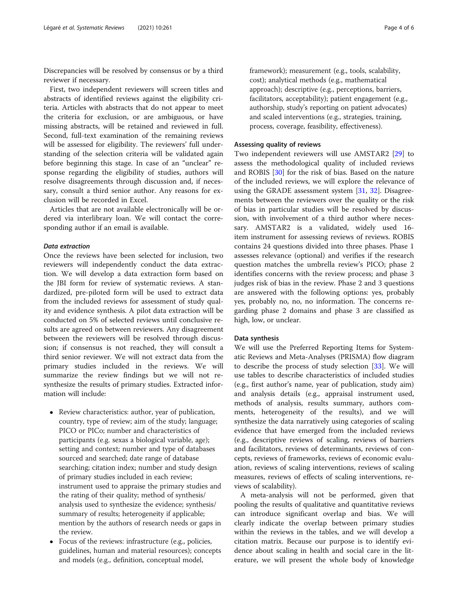Discrepancies will be resolved by consensus or by a third reviewer if necessary.

First, two independent reviewers will screen titles and abstracts of identified reviews against the eligibility criteria. Articles with abstracts that do not appear to meet the criteria for exclusion, or are ambiguous, or have missing abstracts, will be retained and reviewed in full. Second, full-text examination of the remaining reviews will be assessed for eligibility. The reviewers' full understanding of the selection criteria will be validated again before beginning this stage. In case of an "unclear" response regarding the eligibility of studies, authors will resolve disagreements through discussion and, if necessary, consult a third senior author. Any reasons for exclusion will be recorded in Excel.

Articles that are not available electronically will be ordered via interlibrary loan. We will contact the corresponding author if an email is available.

#### Data extraction

Once the reviews have been selected for inclusion, two reviewers will independently conduct the data extraction. We will develop a data extraction form based on the JBI form for review of systematic reviews. A standardized, pre-piloted form will be used to extract data from the included reviews for assessment of study quality and evidence synthesis. A pilot data extraction will be conducted on 5% of selected reviews until conclusive results are agreed on between reviewers. Any disagreement between the reviewers will be resolved through discussion; if consensus is not reached, they will consult a third senior reviewer. We will not extract data from the primary studies included in the reviews. We will summarize the review findings but we will not resynthesize the results of primary studies. Extracted information will include:

- Review characteristics: author, year of publication, country, type of review; aim of the study; language; PICO or PICo; number and characteristics of participants (e.g. sexas a biological variable, age); setting and context; number and type of databases sourced and searched; date range of database searching; citation index; number and study design of primary studies included in each review; instrument used to appraise the primary studies and the rating of their quality; method of synthesis/ analysis used to synthesize the evidence; synthesis/ summary of results; heterogeneity if applicable; mention by the authors of research needs or gaps in the review.
- Focus of the reviews: infrastructure (e.g., policies, guidelines, human and material resources); concepts and models (e.g., definition, conceptual model,

framework); measurement (e.g., tools, scalability, cost); analytical methods (e.g., mathematical approach); descriptive (e.g., perceptions, barriers, facilitators, acceptability); patient engagement (e.g., authorship, study's reporting on patient advocates) and scaled interventions (e.g., strategies, training, process, coverage, feasibility, effectiveness).

#### Assessing quality of reviews

Two independent reviewers will use AMSTAR2 [\[29](#page-5-0)] to assess the methodological quality of included reviews and ROBIS [\[30](#page-5-0)] for the risk of bias. Based on the nature of the included reviews, we will explore the relevance of using the GRADE assessment system [[31,](#page-5-0) [32](#page-5-0)]. Disagreements between the reviewers over the quality or the risk of bias in particular studies will be resolved by discussion, with involvement of a third author where necessary. AMSTAR2 is a validated, widely used 16 item instrument for assessing reviews of reviews. ROBIS contains 24 questions divided into three phases. Phase 1 assesses relevance (optional) and verifies if the research question matches the umbrella review's PICO; phase 2 identifies concerns with the review process; and phase 3 judges risk of bias in the review. Phase 2 and 3 questions are answered with the following options: yes, probably yes, probably no, no, no information. The concerns regarding phase 2 domains and phase 3 are classified as high, low, or unclear.

#### Data synthesis

We will use the Preferred Reporting Items for Systematic Reviews and Meta-Analyses (PRISMA) flow diagram to describe the process of study selection [[33](#page-5-0)]. We will use tables to describe characteristics of included studies (e.g., first author's name, year of publication, study aim) and analysis details (e.g., appraisal instrument used, methods of analysis, results summary, authors comments, heterogeneity of the results), and we will synthesize the data narratively using categories of scaling evidence that have emerged from the included reviews (e.g., descriptive reviews of scaling, reviews of barriers and facilitators, reviews of determinants, reviews of concepts, reviews of frameworks, reviews of economic evaluation, reviews of scaling interventions, reviews of scaling measures, reviews of effects of scaling interventions, reviews of scalability).

A meta-analysis will not be performed, given that pooling the results of qualitative and quantitative reviews can introduce significant overlap and bias. We will clearly indicate the overlap between primary studies within the reviews in the tables, and we will develop a citation matrix. Because our purpose is to identify evidence about scaling in health and social care in the literature, we will present the whole body of knowledge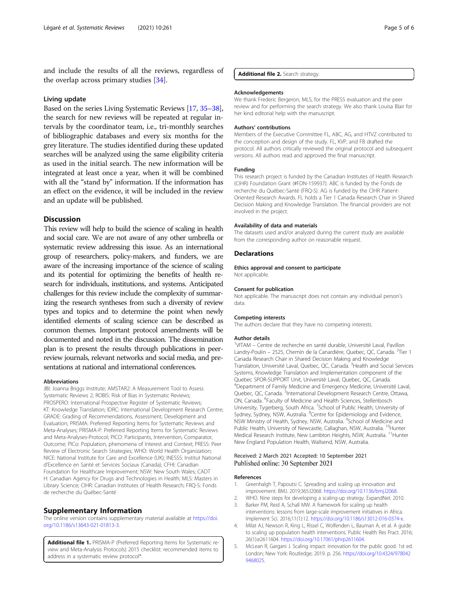<span id="page-4-0"></span>and include the results of all the reviews, regardless of the overlap across primary studies [[34\]](#page-5-0).

#### Living update

Based on the series Living Systematic Reviews [[17](#page-5-0), [35](#page-5-0)–[38](#page-5-0)], the search for new reviews will be repeated at regular intervals by the coordinator team, i.e., tri-monthly searches of bibliographic databases and every six months for the grey literature. The studies identified during these updated searches will be analyzed using the same eligibility criteria as used in the initial search. The new information will be integrated at least once a year, when it will be combined with all the "stand by" information. If the information has an effect on the evidence, it will be included in the review and an update will be published.

#### **Discussion**

This review will help to build the science of scaling in health and social care. We are not aware of any other umbrella or systematic review addressing this issue. As an international group of researchers, policy-makers, and funders, we are aware of the increasing importance of the science of scaling and its potential for optimizing the benefits of health research for individuals, institutions, and systems. Anticipated challenges for this review include the complexity of summarizing the research syntheses from such a diversity of review types and topics and to determine the point when newly identified elements of scaling science can be described as common themes. Important protocol amendments will be documented and noted in the discussion. The dissemination plan is to present the results through publications in peerreview journals, relevant networks and social media, and presentations at national and international conferences.

#### Abbreviations

JBI: Joanna Briggs Institute; AMSTAR2: A Measurement Tool to Assess Systematic Reviews 2; ROBIS: Risk of Bias in Systematic Reviews; PROSPERO: International Prospective Register of Systematic Reviews; KT: Knowledge Translation; IDRC: International Development Research Centre; GRADE: Grading of Recommendations, Assessment, Development and Evaluation; PRISMA: Preferred Reporting Items for Systematic Reviews and Meta-Analyses; PRISMA-P: Preferred Reporting Items for Systematic Reviews and Meta-Analyses-Protocol; PICO: Participants, Intervention, Comparator, Outcome; PICo: Population, phenomena of Interest and Context; PRESS: Peer Review of Electronic Search Strategies; WHO: World Health Organization; NICE: National Institute for Care and Excellence (UK); INESSS: Institut National d'Excellence en Santé et Services Sociaux (Canada); CFHI: Canadian Foundation for Healthcare Improvement; NSW: New South Wales; CADT H: Canadian Agency for Drugs and Technologies in Health; MLS: Masters in Library Science; CIHR: Canadian Institutes of Health Research; FRQ-S: Fonds de recherche du Québec-Santé

#### Supplementary Information

The online version contains supplementary material available at [https://doi.](https://doi.org/10.1186/s13643-021-01813-3) [org/10.1186/s13643-021-01813-3.](https://doi.org/10.1186/s13643-021-01813-3)

Additional file 1. PRISMA-P (Preferred Reporting Items for Systematic review and Meta-Analysis Protocols) 2015 checklist: recommended items to address in a systematic review protocol\*.

Additional file 2. Search strategy.

#### Acknowledgements

We thank Frederic Bergeron, MLS, for the PRESS evaluation and the peer review and for performing the search strategy. We also thank Louisa Blair for her kind editorial help with the manuscript.

#### Authors' contributions

Members of the Executive Committee FL, ABC, AG, and HTVZ contributed to the conception and design of the study. FL, KVP, and FB drafted the protocol. All authors critically reviewed the original protocol and subsequent versions. All authors read and approved the final manuscript.

#### Funding

This research project is funded by the Canadian Institutes of Health Research (CIHR) Foundation Grant (#FDN-159937). ABC is funded by the Fonds de recherche du Québec-Santé (FRQ-S). AG is funded by the CIHR Patient-Oriented Research Awards. FL holds a Tier 1 Canada Research Chair in Shared Decision Making and Knowledge Translation. The financial providers are not involved in the project.

#### Availability of data and materials

The datasets used and/or analyzed during the current study are available from the corresponding author on reasonable request.

#### **Declarations**

Ethics approval and consent to participate Not applicable.

#### Consent for publication

Not applicable. The manuscript does not contain any individual person's data.

#### Competing interests

The authors declare that they have no competing interests.

#### Author details

<sup>1</sup>VITAM - Centre de recherche en santé durable, Université Laval, Pavillon Landry-Poulin - 2525, Chemin de la Canardière, Quebec, QC, Canada. <sup>2</sup>Tier 1 Canada Research Chair in Shared Decision Making and Knowledge Translation, Université Laval, Quebec, QC, Canada. <sup>3</sup> Health and Social Services Systems, Knowledge Translation and Implementation component of the Quebec SPOR-SUPPORT Unit, Université Laval, Quebec, QC, Canada. 4 Department of Family Medicine and Emergency Medicine, Université Laval, Quebec, QC, Canada. <sup>5</sup>International Development Research Centre, Ottawa, ON, Canada. <sup>6</sup>Faculty of Medicine and Health Sciences, Stellenbosch University, Tygerberg, South Africa. <sup>7</sup>School of Public Health, University of Sydney, Sydney, NSW, Australia. <sup>8</sup>Centre for Epidemiology and Evidence, NSW Ministry of Health, Sydney, NSW, Australia. <sup>9</sup>School of Medicine and Public Health, University of Newcastle, Callaghan, NSW, Australia. <sup>10</sup>Hunter Medical Research Institute, New Lambton Heights, NSW, Australia. <sup>11</sup>Hunter New England Population Health, Wallsend, NSW, Australia.

#### Received: 2 March 2021 Accepted: 10 September 2021 Published online: 30 September 2021

#### References

- 1. Greenhalgh T, Papoutsi C. Spreading and scaling up innovation and improvement. BMJ. 2019;365:l2068. [https://doi.org/10.1136/bmj.l2068.](https://doi.org/10.1136/bmj.l2068)
- 2. WHO. Nine steps for developing a scaling-up strategy. ExpandNet. 2010.
- 3. Barker PM, Reid A, Schall MW. A framework for scaling up health interventions: lessons from large-scale improvement initiatives in Africa. Implement Sci. 2016;11(1):12. <https://doi.org/10.1186/s13012-016-0374-x>.
- 4. Milat AJ, Newson R, King L, Rissel C, Wolfenden L, Bauman A, et al. A guide to scaling up population health interventions. Public Health Res Pract. 2016; 26(1):e2611604. [https://doi.org/10.17061/phrp2611604.](https://doi.org/10.17061/phrp2611604)
- 5. McLean R, Gargani J. Scaling impact: innovation for the public good. 1st ed. London; New York: Routledge; 2019. p. 256. [https://doi.org/10.4324/978042](https://doi.org/10.4324/9780429468025) [9468025.](https://doi.org/10.4324/9780429468025)